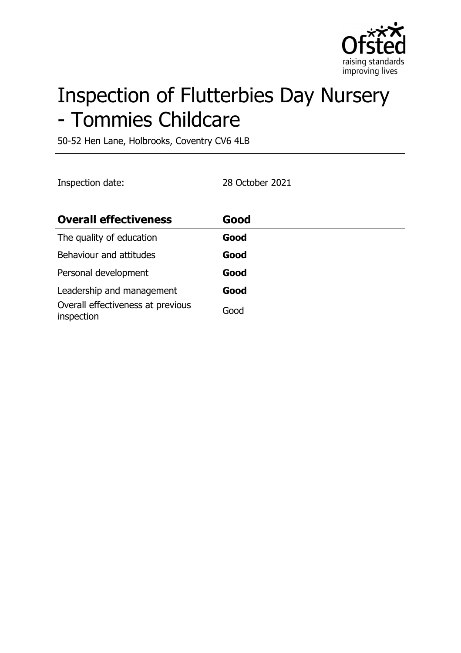

# Inspection of Flutterbies Day Nursery - Tommies Childcare

50-52 Hen Lane, Holbrooks, Coventry CV6 4LB

Inspection date: 28 October 2021

| <b>Overall effectiveness</b>                    | Good |
|-------------------------------------------------|------|
| The quality of education                        | Good |
| Behaviour and attitudes                         | Good |
| Personal development                            | Good |
| Leadership and management                       | Good |
| Overall effectiveness at previous<br>inspection | Good |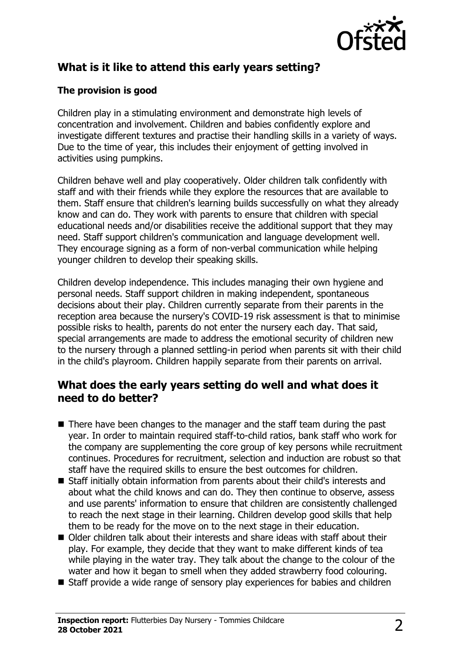

# **What is it like to attend this early years setting?**

#### **The provision is good**

Children play in a stimulating environment and demonstrate high levels of concentration and involvement. Children and babies confidently explore and investigate different textures and practise their handling skills in a variety of ways. Due to the time of year, this includes their enjoyment of getting involved in activities using pumpkins.

Children behave well and play cooperatively. Older children talk confidently with staff and with their friends while they explore the resources that are available to them. Staff ensure that children's learning builds successfully on what they already know and can do. They work with parents to ensure that children with special educational needs and/or disabilities receive the additional support that they may need. Staff support children's communication and language development well. They encourage signing as a form of non-verbal communication while helping younger children to develop their speaking skills.

Children develop independence. This includes managing their own hygiene and personal needs. Staff support children in making independent, spontaneous decisions about their play. Children currently separate from their parents in the reception area because the nursery's COVID-19 risk assessment is that to minimise possible risks to health, parents do not enter the nursery each day. That said, special arrangements are made to address the emotional security of children new to the nursery through a planned settling-in period when parents sit with their child in the child's playroom. Children happily separate from their parents on arrival.

#### **What does the early years setting do well and what does it need to do better?**

- $\blacksquare$  There have been changes to the manager and the staff team during the past year. In order to maintain required staff-to-child ratios, bank staff who work for the company are supplementing the core group of key persons while recruitment continues. Procedures for recruitment, selection and induction are robust so that staff have the required skills to ensure the best outcomes for children.
- Staff initially obtain information from parents about their child's interests and about what the child knows and can do. They then continue to observe, assess and use parents' information to ensure that children are consistently challenged to reach the next stage in their learning. Children develop good skills that help them to be ready for the move on to the next stage in their education.
- $\blacksquare$  Older children talk about their interests and share ideas with staff about their play. For example, they decide that they want to make different kinds of tea while playing in the water tray. They talk about the change to the colour of the water and how it began to smell when they added strawberry food colouring.
- $\blacksquare$  Staff provide a wide range of sensory play experiences for babies and children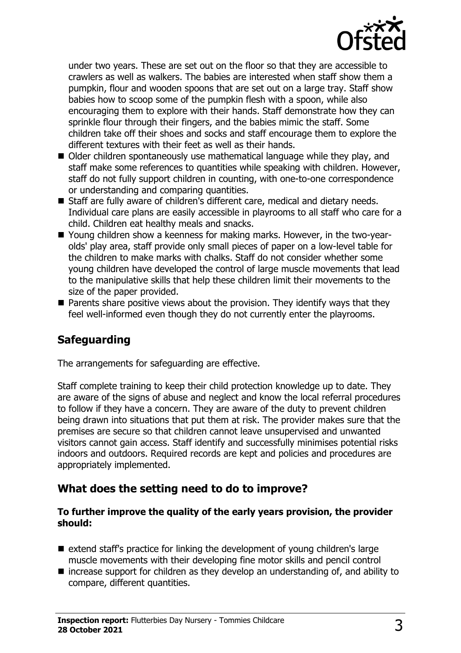

under two years. These are set out on the floor so that they are accessible to crawlers as well as walkers. The babies are interested when staff show them a pumpkin, flour and wooden spoons that are set out on a large tray. Staff show babies how to scoop some of the pumpkin flesh with a spoon, while also encouraging them to explore with their hands. Staff demonstrate how they can sprinkle flour through their fingers, and the babies mimic the staff. Some children take off their shoes and socks and staff encourage them to explore the different textures with their feet as well as their hands.

- $\blacksquare$  Older children spontaneously use mathematical language while they play, and staff make some references to quantities while speaking with children. However, staff do not fully support children in counting, with one-to-one correspondence or understanding and comparing quantities.
- Staff are fully aware of children's different care, medical and dietary needs. Individual care plans are easily accessible in playrooms to all staff who care for a child. Children eat healthy meals and snacks.
- Young children show a keenness for making marks. However, in the two-yearolds' play area, staff provide only small pieces of paper on a low-level table for the children to make marks with chalks. Staff do not consider whether some young children have developed the control of large muscle movements that lead to the manipulative skills that help these children limit their movements to the size of the paper provided.
- $\blacksquare$  Parents share positive views about the provision. They identify ways that they feel well-informed even though they do not currently enter the playrooms.

## **Safeguarding**

The arrangements for safeguarding are effective.

Staff complete training to keep their child protection knowledge up to date. They are aware of the signs of abuse and neglect and know the local referral procedures to follow if they have a concern. They are aware of the duty to prevent children being drawn into situations that put them at risk. The provider makes sure that the premises are secure so that children cannot leave unsupervised and unwanted visitors cannot gain access. Staff identify and successfully minimises potential risks indoors and outdoors. Required records are kept and policies and procedures are appropriately implemented.

#### **What does the setting need to do to improve?**

#### **To further improve the quality of the early years provision, the provider should:**

- $\blacksquare$  extend staff's practice for linking the development of young children's large muscle movements with their developing fine motor skills and pencil control
- $\blacksquare$  increase support for children as they develop an understanding of, and ability to compare, different quantities.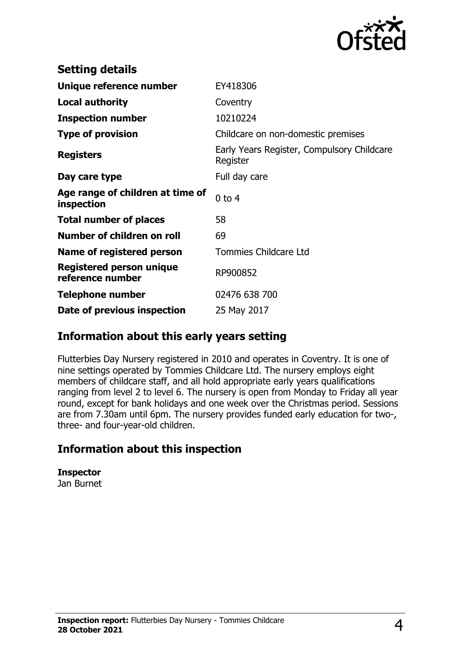

| <b>Setting details</b>                         |                                                        |
|------------------------------------------------|--------------------------------------------------------|
| Unique reference number                        | EY418306                                               |
| <b>Local authority</b>                         | Coventry                                               |
| <b>Inspection number</b>                       | 10210224                                               |
| <b>Type of provision</b>                       | Childcare on non-domestic premises                     |
| <b>Registers</b>                               | Early Years Register, Compulsory Childcare<br>Register |
| Day care type                                  | Full day care                                          |
| Age range of children at time of<br>inspection | $0$ to $4$                                             |
| <b>Total number of places</b>                  | 58                                                     |
| Number of children on roll                     | 69                                                     |
| Name of registered person                      | <b>Tommies Childcare Ltd</b>                           |
| Registered person unique<br>reference number   | RP900852                                               |
| <b>Telephone number</b>                        | 02476 638 700                                          |
| Date of previous inspection                    | 25 May 2017                                            |

#### **Information about this early years setting**

Flutterbies Day Nursery registered in 2010 and operates in Coventry. It is one of nine settings operated by Tommies Childcare Ltd. The nursery employs eight members of childcare staff, and all hold appropriate early years qualifications ranging from level 2 to level 6. The nursery is open from Monday to Friday all year round, except for bank holidays and one week over the Christmas period. Sessions are from 7.30am until 6pm. The nursery provides funded early education for two-, three- and four-year-old children.

## **Information about this inspection**

**Inspector**

Jan Burnet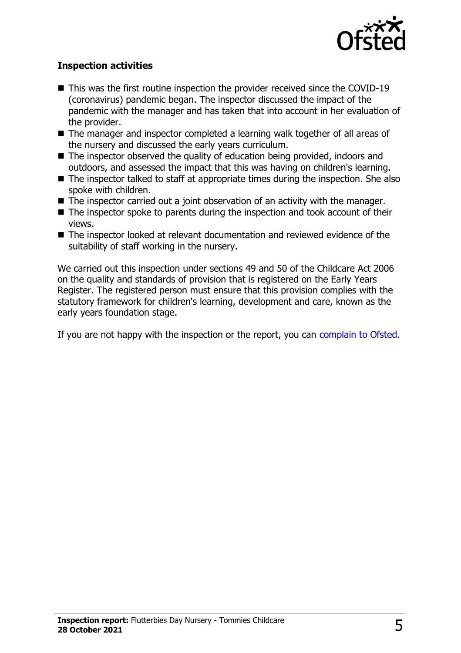

#### **Inspection activities**

- $\blacksquare$  This was the first routine inspection the provider received since the COVID-19 (coronavirus) pandemic began. The inspector discussed the impact of the pandemic with the manager and has taken that into account in her evaluation of the provider.
- $\blacksquare$  The manager and inspector completed a learning walk together of all areas of the nursery and discussed the early years curriculum.
- $\blacksquare$  The inspector observed the quality of education being provided, indoors and outdoors, and assessed the impact that this was having on children's learning.
- $\blacksquare$  The inspector talked to staff at appropriate times during the inspection. She also spoke with children.
- $\blacksquare$  The inspector carried out a joint observation of an activity with the manager.
- $\blacksquare$  The inspector spoke to parents during the inspection and took account of their views.
- $\blacksquare$  The inspector looked at relevant documentation and reviewed evidence of the suitability of staff working in the nursery.

We carried out this inspection under sections 49 and 50 of the Childcare Act 2006 on the quality and standards of provision that is registered on the Early Years Register. The registered person must ensure that this provision complies with the statutory framework for children's learning, development and care, known as the early years foundation stage.

If you are not happy with the inspection or the report, you can [complain to Ofsted](http://www.gov.uk/complain-ofsted-report).